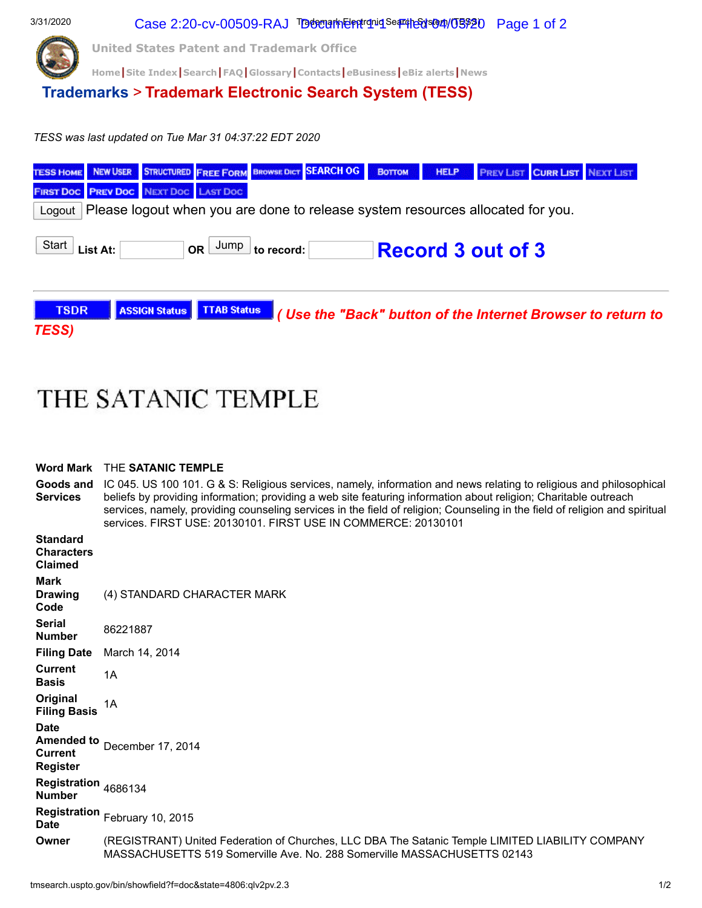

## THE SATANIC TEMPLE

## **Word Mark** THE **SATANIC TEMPLE**

**Goods and Services** IC 045. US 100 101. G & S: Religious services, namely, information and news relating to religious and philosophical beliefs by providing information; providing a web site featuring information about religion; Charitable outreach services, namely, providing counseling services in the field of religion; Counseling in the field of religion and spiritual services. FIRST USE: 20130101. FIRST USE IN COMMERCE: 20130101

| <b>Standard</b><br><b>Characters</b><br><b>Claimed</b>                |                                                                                                                                                                              |
|-----------------------------------------------------------------------|------------------------------------------------------------------------------------------------------------------------------------------------------------------------------|
| <b>Mark</b><br><b>Drawing</b><br>Code                                 | (4) STANDARD CHARACTER MARK                                                                                                                                                  |
| <b>Serial</b><br><b>Number</b>                                        | 86221887                                                                                                                                                                     |
| <b>Filing Date</b>                                                    | March 14, 2014                                                                                                                                                               |
| <b>Current</b><br><b>Basis</b>                                        | 1A                                                                                                                                                                           |
| Original<br><b>Filing Basis</b>                                       | 1A                                                                                                                                                                           |
| <b>Date</b><br><b>Amended to</b><br><b>Current</b><br><b>Register</b> | December 17, 2014                                                                                                                                                            |
| Registration 4686134<br><b>Number</b>                                 |                                                                                                                                                                              |
| <b>Date</b>                                                           | Registration February 10, 2015                                                                                                                                               |
| Owner                                                                 | (REGISTRANT) United Federation of Churches, LLC DBA The Satanic Temple LIMITED LIABILITY COMPANY<br>MASSACHUSETTS 519 Somerville Ave. No. 288 Somerville MASSACHUSETTS 02143 |